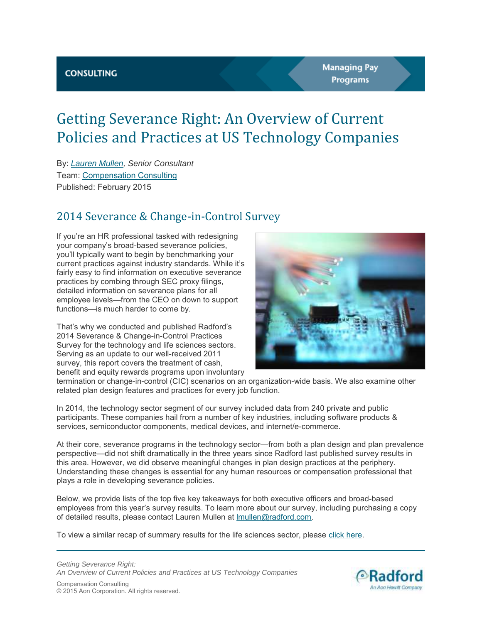# Getting Severance Right: An Overview of Current Policies and Practices at US Technology Companies

By: *[Lauren Mullen,](mailto:lmullen@radford.com) Senior Consultant*  Team: [Compensation Consulting](https://www.radford.com/home/consulting/) Published: February 2015

### 2014 Severance & Change-in-Control Survey

If you're an HR professional tasked with redesigning your company's broad-based severance policies, you'll typically want to begin by benchmarking your current practices against industry standards. While it's fairly easy to find information on executive severance practices by combing through SEC proxy filings, detailed information on severance plans for all employee levels—from the CEO on down to support functions—is much harder to come by.

That's why we conducted and published Radford's 2014 Severance & Change-in-Control Practices Survey for the technology and life sciences sectors. Serving as an update to our well-received 2011 survey, this report covers the treatment of cash, benefit and equity rewards programs upon involuntary



termination or change-in-control (CIC) scenarios on an organization-wide basis. We also examine other related plan design features and practices for every job function.

In 2014, the technology sector segment of our survey included data from 240 private and public participants. These companies hail from a number of key industries, including software products & services, semiconductor components, medical devices, and internet/e-commerce.

At their core, severance programs in the technology sector—from both a plan design and plan prevalence perspective—did not shift dramatically in the three years since Radford last published survey results in this area. However, we did observe meaningful changes in plan design practices at the periphery. Understanding these changes is essential for any human resources or compensation professional that plays a role in developing severance policies.

Below, we provide lists of the top five key takeaways for both executive officers and broad-based employees from this year's survey results. To learn more about our survey, including purchasing a copy of detailed results, please contact Lauren Mullen at [lmullen@radford.com.](mailto:lmullen@radford.com)

To view a similar recap of summary results for the life sciences sector, please [click here.](https://www.radford.com/home/insights/articles/2015/us_severance_policies_at_life_sciences_companies.asp)



© 2015 Aon Corporation. All rights reserved.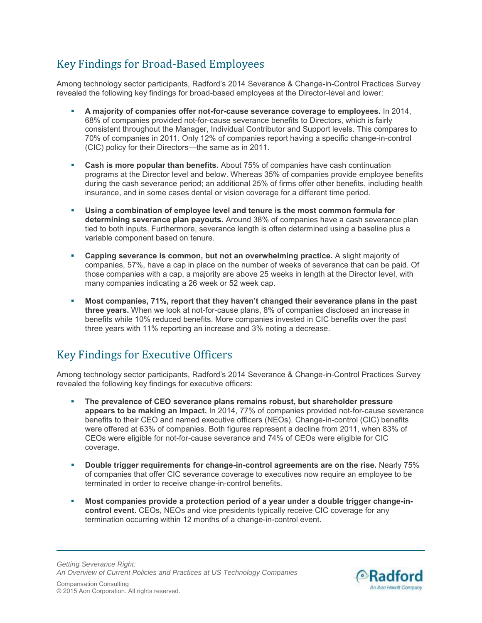# Key Findings for Broad-Based Employees

Among technology sector participants, Radford's 2014 Severance & Change-in-Control Practices Survey revealed the following key findings for broad-based employees at the Director-level and lower:

- **A majority of companies offer not-for-cause severance coverage to employees.** In 2014, 68% of companies provided not-for-cause severance benefits to Directors, which is fairly consistent throughout the Manager, Individual Contributor and Support levels. This compares to 70% of companies in 2011. Only 12% of companies report having a specific change-in-control (CIC) policy for their Directors—the same as in 2011.
- **Cash is more popular than benefits.** About 75% of companies have cash continuation programs at the Director level and below. Whereas 35% of companies provide employee benefits during the cash severance period; an additional 25% of firms offer other benefits, including health insurance, and in some cases dental or vision coverage for a different time period.
- **Using a combination of employee level and tenure is the most common formula for determining severance plan payouts.** Around 38% of companies have a cash severance plan tied to both inputs. Furthermore, severance length is often determined using a baseline plus a variable component based on tenure.
- **Capping severance is common, but not an overwhelming practice.** A slight majority of companies, 57%, have a cap in place on the number of weeks of severance that can be paid. Of those companies with a cap, a majority are above 25 weeks in length at the Director level, with many companies indicating a 26 week or 52 week cap.
- **Most companies, 71%, report that they haven't changed their severance plans in the past three years.** When we look at not-for-cause plans, 8% of companies disclosed an increase in benefits while 10% reduced benefits. More companies invested in CIC benefits over the past three years with 11% reporting an increase and 3% noting a decrease.

# Key Findings for Executive Officers

Among technology sector participants, Radford's 2014 Severance & Change-in-Control Practices Survey revealed the following key findings for executive officers:

- **The prevalence of CEO severance plans remains robust, but shareholder pressure appears to be making an impact.** In 2014, 77% of companies provided not-for-cause severance benefits to their CEO and named executive officers (NEOs). Change-in-control (CIC) benefits were offered at 63% of companies. Both figures represent a decline from 2011, when 83% of CEOs were eligible for not-for-cause severance and 74% of CEOs were eligible for CIC coverage.
- **Double trigger requirements for change-in-control agreements are on the rise.** Nearly 75% of companies that offer CIC severance coverage to executives now require an employee to be terminated in order to receive change-in-control benefits.
- **Most companies provide a protection period of a year under a double trigger change-incontrol event.** CEOs, NEOs and vice presidents typically receive CIC coverage for any termination occurring within 12 months of a change-in-control event.

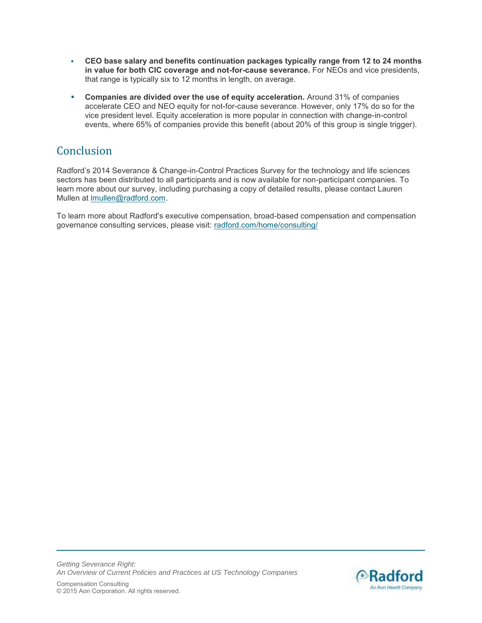- **CEO base salary and benefits continuation packages typically range from 12 to 24 months in value for both CIC coverage and not-for-cause severance.** For NEOs and vice presidents, that range is typically six to 12 months in length, on average.
- **Companies are divided over the use of equity acceleration.** Around 31% of companies accelerate CEO and NEO equity for not-for-cause severance. However, only 17% do so for the vice president level. Equity acceleration is more popular in connection with change-in-control events, where 65% of companies provide this benefit (about 20% of this group is single trigger).

# **Conclusion**

Radford's 2014 Severance & Change-in-Control Practices Survey for the technology and life sciences sectors has been distributed to all participants and is now available for non-participant companies. To learn more about our survey, including purchasing a copy of detailed results, please contact Lauren Mullen at [lmullen@radford.com.](mailto:lmullen@radford.com)

To learn more about Radford's executive compensation, broad-based compensation and compensation governance consulting services, please visit: radford.com/home/consulting/